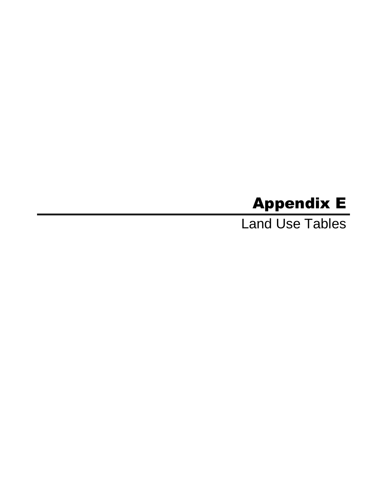# Appendix E

Land Use Tables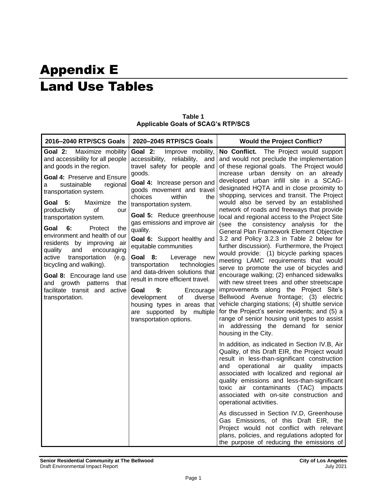# Appendix E Land Use Tables

| 2016-2040 RTP/SCS Goals                                                                                                                                                                                                                                                                                                                                                                                                                                                                                                                                                                     | 2020-2045 RTP/SCS Goals                                                                                                                                                                                                                                                                                                                                                                                                                                                                                                                                                                                                                                  | <b>Would the Project Conflict?</b>                                                                                                                                                                                                                                                                                                                                                                                                                                                                                                                                                                                                                                                                                                                                                                                                                                                                                                                                                                                                                                                                                                                       |
|---------------------------------------------------------------------------------------------------------------------------------------------------------------------------------------------------------------------------------------------------------------------------------------------------------------------------------------------------------------------------------------------------------------------------------------------------------------------------------------------------------------------------------------------------------------------------------------------|----------------------------------------------------------------------------------------------------------------------------------------------------------------------------------------------------------------------------------------------------------------------------------------------------------------------------------------------------------------------------------------------------------------------------------------------------------------------------------------------------------------------------------------------------------------------------------------------------------------------------------------------------------|----------------------------------------------------------------------------------------------------------------------------------------------------------------------------------------------------------------------------------------------------------------------------------------------------------------------------------------------------------------------------------------------------------------------------------------------------------------------------------------------------------------------------------------------------------------------------------------------------------------------------------------------------------------------------------------------------------------------------------------------------------------------------------------------------------------------------------------------------------------------------------------------------------------------------------------------------------------------------------------------------------------------------------------------------------------------------------------------------------------------------------------------------------|
| Maximize mobility<br>Goal 2:<br>and accessibility for all people<br>and goods in the region.<br>Goal 4: Preserve and Ensure<br>sustainable<br>regional<br>а<br>transportation system.<br>Goal 5:<br>Maximize<br>the<br>productivity<br>of<br>our<br>transportation system.<br>6:<br>Goal<br>Protect<br>the<br>environment and health of our<br>residents by improving<br>air<br>quality<br>and<br>encouraging<br>active<br>transportation<br>(e.g.<br>bicycling and walking).<br>Goal 8: Encourage land use<br>and growth patterns that<br>facilitate transit and active<br>transportation. | Goal 2:<br>Improve mobility,<br>accessibility, reliability,<br>and<br>travel safety for people and<br>goods.<br>Goal 4: Increase person and<br>goods movement and travel<br>choices<br>within<br>the<br>transportation system.<br>Goal 5: Reduce greenhouse<br>gas emissions and improve air<br>quality.<br>Goal 6: Support healthy and<br>equitable communities<br>Goal 8:<br>Leverage<br>new<br>technologies<br>transportation<br>and data-driven solutions that<br>result in more efficient travel.<br>Goal<br>9:<br>Encourage<br>diverse<br>development<br>of<br>housing types in areas that<br>are supported by multiple<br>transportation options. | The Project would support<br>No Conflict.<br>and would not preclude the implementation<br>of these regional goals. The Project would<br>increase urban density on an already<br>developed urban infill site in a SCAG-<br>designated HQTA and in close proximity to<br>shopping, services and transit. The Project<br>would also be served by an established<br>network of roads and freeways that provide<br>local and regional access to the Project Site<br>(see the consistency analysis for the<br>General Plan Framework Element Objective<br>3.2 and Policy 3.2.3 in Table 2 below for<br>further discussion). Furthermore, the Project<br>would provide: (1) bicycle parking spaces<br>meeting LAMC requirements that would<br>serve to promote the use of bicycles and<br>encourage walking; (2) enhanced sidewalks<br>with new street trees and other streetscape<br>improvements along the Project Site's<br>Bellwood Avenue frontage; (3) electric<br>vehicle charging stations; (4) shuttle service<br>for the Project's senior residents; and (5) a<br>range of senior housing unit types to assist<br>in addressing the demand for senior |
|                                                                                                                                                                                                                                                                                                                                                                                                                                                                                                                                                                                             |                                                                                                                                                                                                                                                                                                                                                                                                                                                                                                                                                                                                                                                          | housing in the City.<br>In addition, as indicated in Section IV.B, Air<br>Quality, of this Draft EIR, the Project would<br>result in less-than-significant construction<br>and<br>operational<br>air<br>quality<br>impacts<br>associated with localized and regional air<br>quality emissions and less-than-significant<br>toxic air contaminants (TAC) impacts<br>associated with on-site construction and<br>operational activities.<br>As discussed in Section IV.D, Greenhouse<br>Gas Emissions, of this Draft EIR, the<br>Project would not conflict with relevant<br>plans, policies, and regulations adopted for<br>the purpose of reducing the emissions of                                                                                                                                                                                                                                                                                                                                                                                                                                                                                      |

**Table 1 Applicable Goals of SCAG's RTP/SCS**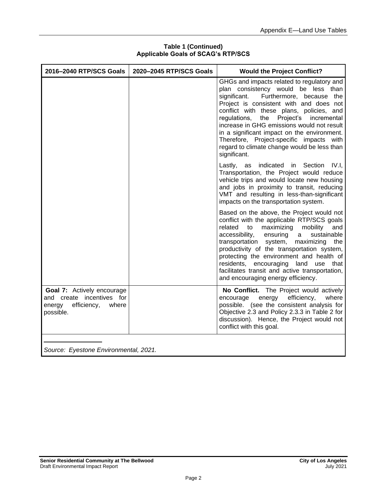| 2016-2040 RTP/SCS Goals                                                                                       | 2020-2045 RTP/SCS Goals | <b>Would the Project Conflict?</b>                                                                                                                                                                                                                                                                                                                                                                                                                                           |
|---------------------------------------------------------------------------------------------------------------|-------------------------|------------------------------------------------------------------------------------------------------------------------------------------------------------------------------------------------------------------------------------------------------------------------------------------------------------------------------------------------------------------------------------------------------------------------------------------------------------------------------|
|                                                                                                               |                         | GHGs and impacts related to regulatory and<br>plan consistency would be less than<br>Furthermore, because the<br>significant.<br>Project is consistent with and does not<br>conflict with these plans, policies, and<br>regulations, the<br>Project's<br>incremental<br>increase in GHG emissions would not result<br>in a significant impact on the environment.<br>Therefore, Project-specific impacts with<br>regard to climate change would be less than<br>significant. |
|                                                                                                               |                         | Lastly, as indicated in Section IV.I,<br>Transportation, the Project would reduce<br>vehicle trips and would locate new housing<br>and jobs in proximity to transit, reducing<br>VMT and resulting in less-than-significant<br>impacts on the transportation system.                                                                                                                                                                                                         |
|                                                                                                               |                         | Based on the above, the Project would not<br>conflict with the applicable RTP/SCS goals<br>maximizing<br>related<br>to<br>mobility<br>and<br>accessibility,<br>$\mathsf{a}$<br>sustainable<br>ensuring<br>transportation system, maximizing the<br>productivity of the transportation system,<br>protecting the environment and health of<br>residents, encouraging land use that<br>facilitates transit and active transportation,<br>and encouraging energy efficiency.    |
| <b>Goal 7:</b> Actively encourage<br>and create incentives for<br>energy<br>efficiency,<br>where<br>possible. |                         | No Conflict. The Project would actively<br>efficiency,<br>encourage<br>energy<br>where<br>possible. (see the consistent analysis for<br>Objective 2.3 and Policy 2.3.3 in Table 2 for<br>discussion). Hence, the Project would not<br>conflict with this goal.                                                                                                                                                                                                               |
| Source: Eyestone Environmental, 2021.                                                                         |                         |                                                                                                                                                                                                                                                                                                                                                                                                                                                                              |

#### **Table 1 (Continued) Applicable Goals of SCAG's RTP/SCS**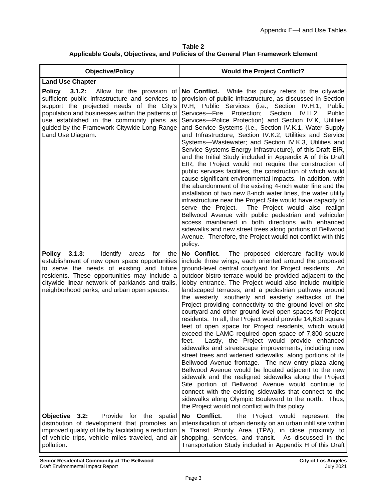**Table 2 Applicable Goals, Objectives, and Policies of the General Plan Framework Element**

| <b>Objective/Policy</b>                                                                                                                                                                                                                                                                                                     | <b>Would the Project Conflict?</b>                                                                                                                                                                                                                                                                                                                                                                                                                                                                                                                                                                                                                                                                                                                                                                                                                                                                                                                                                                                                                                                                                                                                                                                                                                                                                         |
|-----------------------------------------------------------------------------------------------------------------------------------------------------------------------------------------------------------------------------------------------------------------------------------------------------------------------------|----------------------------------------------------------------------------------------------------------------------------------------------------------------------------------------------------------------------------------------------------------------------------------------------------------------------------------------------------------------------------------------------------------------------------------------------------------------------------------------------------------------------------------------------------------------------------------------------------------------------------------------------------------------------------------------------------------------------------------------------------------------------------------------------------------------------------------------------------------------------------------------------------------------------------------------------------------------------------------------------------------------------------------------------------------------------------------------------------------------------------------------------------------------------------------------------------------------------------------------------------------------------------------------------------------------------------|
| <b>Land Use Chapter</b>                                                                                                                                                                                                                                                                                                     |                                                                                                                                                                                                                                                                                                                                                                                                                                                                                                                                                                                                                                                                                                                                                                                                                                                                                                                                                                                                                                                                                                                                                                                                                                                                                                                            |
| Allow for the provision of<br><b>Policy</b><br>3.1.2:<br>sufficient public infrastructure and services to<br>support the projected needs of the City's<br>population and businesses within the patterns of<br>use established in the community plans as<br>guided by the Framework Citywide Long-Range<br>Land Use Diagram. | No Conflict. While this policy refers to the citywide<br>provision of public infrastructure, as discussed in Section<br>IV.H, Public Services (i.e., Section IV.H.1, Public<br>Services-Fire<br>Protection;<br>Section<br>IV.H.2<br><b>Public</b><br>Services-Police Protection) and Section IV.K, Utilities<br>and Service Systems (i.e., Section IV.K.1, Water Supply<br>and Infrastructure; Section IV.K.2, Utilities and Service<br>Systems-Wastewater; and Section IV.K.3, Utilities and<br>Service Systems-Energy Infrastructure), of this Draft EIR,<br>and the Initial Study included in Appendix A of this Draft<br>EIR, the Project would not require the construction of<br>public services facilities, the construction of which would<br>cause significant environmental impacts. In addition, with<br>the abandonment of the existing 4-inch water line and the<br>installation of two new 8-inch water lines, the water utility<br>infrastructure near the Project Site would have capacity to<br>The Project would also realign<br>serve the Project.<br>Bellwood Avenue with public pedestrian and vehicular<br>access maintained in both directions with enhanced<br>sidewalks and new street trees along portions of Bellwood<br>Avenue. Therefore, the Project would not conflict with this<br>policy. |
| 3.1.3:<br><b>Policy</b><br><b>Identify</b><br>for<br>areas<br>the<br>establishment of new open space opportunities<br>to serve the needs of existing and future<br>residents. These opportunities may include a<br>citywide linear network of parklands and trails,<br>neighborhood parks, and urban open spaces.           | No Conflict.<br>The proposed eldercare facility would<br>include three wings, each oriented around the proposed<br>ground-level central courtyard for Project residents. An<br>outdoor bistro terrace would be provided adjacent to the<br>lobby entrance. The Project would also include multiple<br>landscaped terraces, and a pedestrian pathway around<br>the westerly, southerly and easterly setbacks of the<br>Project providing connectivity to the ground-level on-site<br>courtyard and other ground-level open spaces for Project<br>residents. In all, the Project would provide 14,630 square<br>feet of open space for Project residents, which would<br>exceed the LAMC required open space of 7,800 square<br>Lastly, the Project would provide enhanced<br>feet.<br>sidewalks and streetscape improvements, including new<br>street trees and widened sidewalks, along portions of its<br>Bellwood Avenue frontage. The new entry plaza along<br>Bellwood Avenue would be located adjacent to the new<br>sidewalk and the realigned sidewalks along the Project<br>Site portion of Bellwood Avenue would continue to<br>connect with the existing sidewalks that connect to the<br>sidewalks along Olympic Boulevard to the north. Thus,<br>the Project would not conflict with this policy.              |
| Provide for<br><b>Objective</b><br>3.2:<br>the<br>spatial<br>distribution of development that promotes an<br>improved quality of life by facilitating a reduction<br>of vehicle trips, vehicle miles traveled, and air<br>pollution.                                                                                        | No Conflict.<br>The<br>Project would<br>represent<br>the<br>intensification of urban density on an urban infill site within<br>a Transit Priority Area (TPA), in close proximity to<br>shopping, services, and transit. As discussed in the<br>Transportation Study included in Appendix H of this Draft                                                                                                                                                                                                                                                                                                                                                                                                                                                                                                                                                                                                                                                                                                                                                                                                                                                                                                                                                                                                                   |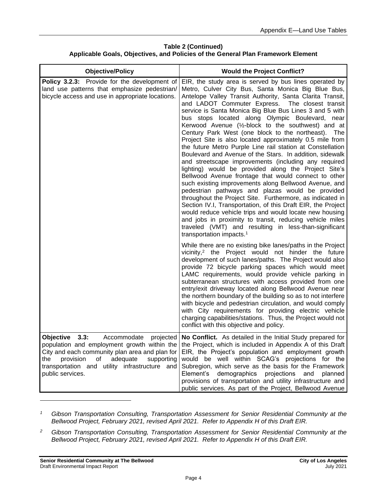**Table 2 (Continued) Applicable Goals, Objectives, and Policies of the General Plan Framework Element**

| <b>Objective/Policy</b>                                                                                                                                                                                          | <b>Would the Project Conflict?</b>                                                                                                                                                                                                                                                                                                                                                                                                                                                                                                                                                                                                                                                                                                                                                                                                                                                                                                                                                                                                                                                                                                                                                                                                                                                      |
|------------------------------------------------------------------------------------------------------------------------------------------------------------------------------------------------------------------|-----------------------------------------------------------------------------------------------------------------------------------------------------------------------------------------------------------------------------------------------------------------------------------------------------------------------------------------------------------------------------------------------------------------------------------------------------------------------------------------------------------------------------------------------------------------------------------------------------------------------------------------------------------------------------------------------------------------------------------------------------------------------------------------------------------------------------------------------------------------------------------------------------------------------------------------------------------------------------------------------------------------------------------------------------------------------------------------------------------------------------------------------------------------------------------------------------------------------------------------------------------------------------------------|
| Policy 3.2.3: Provide for the development of<br>land use patterns that emphasize pedestrian/<br>bicycle access and use in appropriate locations.                                                                 | EIR, the study area is served by bus lines operated by<br>Metro, Culver City Bus, Santa Monica Big Blue Bus,<br>Antelope Valley Transit Authority, Santa Clarita Transit,<br>and LADOT Commuter Express. The closest transit<br>service is Santa Monica Big Blue Bus Lines 3 and 5 with<br>bus stops located along Olympic Boulevard, near<br>Kerwood Avenue (1/2-block to the southwest) and at<br>Century Park West (one block to the northeast). The<br>Project Site is also located approximately 0.5 mile from<br>the future Metro Purple Line rail station at Constellation<br>Boulevard and Avenue of the Stars. In addition, sidewalk<br>and streetscape improvements (including any required<br>lighting) would be provided along the Project Site's<br>Bellwood Avenue frontage that would connect to other<br>such existing improvements along Bellwood Avenue, and<br>pedestrian pathways and plazas would be provided<br>throughout the Project Site. Furthermore, as indicated in<br>Section IV.I, Transportation, of this Draft EIR, the Project<br>would reduce vehicle trips and would locate new housing<br>and jobs in proximity to transit, reducing vehicle miles<br>traveled (VMT) and resulting in less-than-significant<br>transportation impacts. <sup>1</sup> |
|                                                                                                                                                                                                                  | While there are no existing bike lanes/paths in the Project<br>vicinity, <sup>2</sup> the Project would not hinder the future<br>development of such lanes/paths. The Project would also<br>provide 72 bicycle parking spaces which would meet<br>LAMC requirements, would provide vehicle parking in<br>subterranean structures with access provided from one<br>entry/exit driveway located along Bellwood Avenue near<br>the northern boundary of the building so as to not interfere<br>with bicycle and pedestrian circulation, and would comply<br>with City requirements for providing electric vehicle<br>charging capabilities/stations. Thus, the Project would not<br>conflict with this objective and policy.                                                                                                                                                                                                                                                                                                                                                                                                                                                                                                                                                               |
| <b>Objective</b><br>3.3:<br>Accommodate<br>City and each community plan area and plan for<br>of adequate<br>provision<br>supporting<br>the⊹<br>transportation and utility infrastructure and<br>public services. | projected   No Conflict. As detailed in the Initial Study prepared for<br>population and employment growth within the   the Project, which is included in Appendix A of this Draft<br>EIR, the Project's population and employment growth<br>would be well within SCAG's projections for the<br>Subregion, which serve as the basis for the Framework<br>Element's demographics projections and planned<br>provisions of transportation and utility infrastructure and<br>public services. As part of the Project, Bellwood Avenue                                                                                                                                                                                                                                                                                                                                                                                                                                                                                                                                                                                                                                                                                                                                                      |

*<sup>1</sup> Gibson Transportation Consulting, Transportation Assessment for Senior Residential Community at the Bellwood Project, February 2021, revised April 2021. Refer to Appendix H of this Draft EIR.*

*<sup>2</sup> Gibson Transportation Consulting, Transportation Assessment for Senior Residential Community at the Bellwood Project, February 2021, revised April 2021. Refer to Appendix H of this Draft EIR.*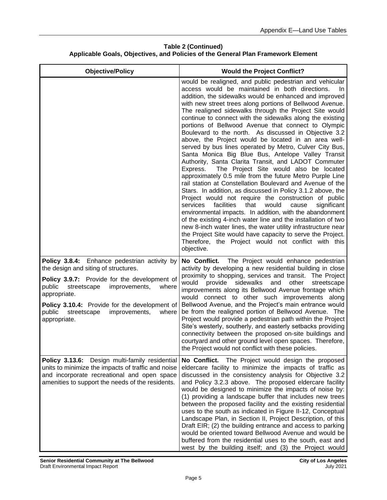| <b>Objective/Policy</b>                                                                                                                                                                                                                                                                                                     | <b>Would the Project Conflict?</b>                                                                                                                                                                                                                                                                                                                                                                                                                                                                                                                                                                                                                                                                                                                                                                                                                                                                                                                                                                                                                                                                                                                                                                                                                                                                                                                                                                                       |
|-----------------------------------------------------------------------------------------------------------------------------------------------------------------------------------------------------------------------------------------------------------------------------------------------------------------------------|--------------------------------------------------------------------------------------------------------------------------------------------------------------------------------------------------------------------------------------------------------------------------------------------------------------------------------------------------------------------------------------------------------------------------------------------------------------------------------------------------------------------------------------------------------------------------------------------------------------------------------------------------------------------------------------------------------------------------------------------------------------------------------------------------------------------------------------------------------------------------------------------------------------------------------------------------------------------------------------------------------------------------------------------------------------------------------------------------------------------------------------------------------------------------------------------------------------------------------------------------------------------------------------------------------------------------------------------------------------------------------------------------------------------------|
|                                                                                                                                                                                                                                                                                                                             | would be realigned, and public pedestrian and vehicular<br>access would be maintained in both directions.<br>In.<br>addition, the sidewalks would be enhanced and improved<br>with new street trees along portions of Bellwood Avenue.<br>The realigned sidewalks through the Project Site would<br>continue to connect with the sidewalks along the existing<br>portions of Bellwood Avenue that connect to Olympic<br>Boulevard to the north. As discussed in Objective 3.2<br>above, the Project would be located in an area well-<br>served by bus lines operated by Metro, Culver City Bus,<br>Santa Monica Big Blue Bus, Antelope Valley Transit<br>Authority, Santa Clarita Transit, and LADOT Commuter<br>The Project Site would also be located<br>Express.<br>approximately 0.5 mile from the future Metro Purple Line<br>rail station at Constellation Boulevard and Avenue of the<br>Stars. In addition, as discussed in Policy 3.1.2 above, the<br>Project would not require the construction of public<br>facilities<br>that<br>would<br>services<br>cause<br>significant<br>environmental impacts. In addition, with the abandonment<br>of the existing 4-inch water line and the installation of two<br>new 8-inch water lines, the water utility infrastructure near<br>the Project Site would have capacity to serve the Project.<br>Therefore, the Project would not conflict with this<br>objective. |
| Policy 3.8.4: Enhance pedestrian activity by<br>the design and siting of structures.<br>Policy 3.9.7: Provide for the development of<br>improvements,<br>public<br>streetscape<br>where<br>appropriate.<br>Policy 3.10.4: Provide for the development of<br>public<br>streetscape<br>improvements,<br>where<br>appropriate. | The Project would enhance pedestrian<br>No Conflict.<br>activity by developing a new residential building in close<br>proximity to shopping, services and transit. The Project<br>would<br>provide<br>sidewalks<br>and<br>other<br>streetscape<br>improvements along its Bellwood Avenue frontage which<br>would connect to other such improvements along<br>Bellwood Avenue, and the Project's main entrance would<br>be from the realigned portion of Bellwood Avenue. The<br>Project would provide a pedestrian path within the Project<br>Site's westerly, southerly, and easterly setbacks providing<br>connectivity between the proposed on-site buildings and<br>courtyard and other ground level open spaces. Therefore,<br>the Project would not conflict with these policies.                                                                                                                                                                                                                                                                                                                                                                                                                                                                                                                                                                                                                                  |
| Policy 3.13.6: Design multi-family residential<br>units to minimize the impacts of traffic and noise<br>and incorporate recreational and open space<br>amenities to support the needs of the residents.                                                                                                                     | No Conflict. The Project would design the proposed<br>eldercare facility to minimize the impacts of traffic as<br>discussed in the consistency analysis for Objective 3.2<br>and Policy 3.2.3 above. The proposed eldercare facility<br>would be designed to minimize the impacts of noise by:<br>(1) providing a landscape buffer that includes new trees<br>between the proposed facility and the existing residential<br>uses to the south as indicated in Figure II-12, Conceptual<br>Landscape Plan, in Section II, Project Description, of this<br>Draft EIR; (2) the building entrance and access to parking<br>would be oriented toward Bellwood Avenue and would be<br>buffered from the residential uses to the south, east and<br>west by the building itself; and (3) the Project would                                                                                                                                                                                                                                                                                                                                                                                                                                                                                                                                                                                                                      |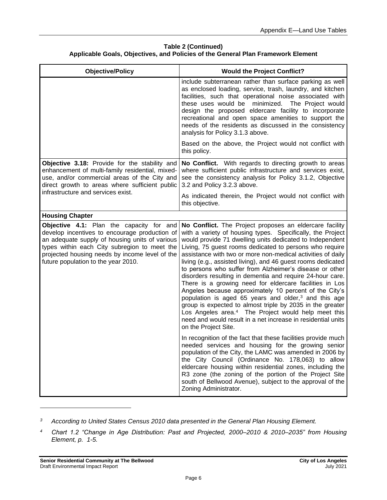| <b>Objective/Policy</b>                                                                                                                                                                                                                                                                     | <b>Would the Project Conflict?</b>                                                                                                                                                                                                                                                                                                                                                                                                                                                                                                                                                                                                                                                                                                                                                                                                                                                                                   |
|---------------------------------------------------------------------------------------------------------------------------------------------------------------------------------------------------------------------------------------------------------------------------------------------|----------------------------------------------------------------------------------------------------------------------------------------------------------------------------------------------------------------------------------------------------------------------------------------------------------------------------------------------------------------------------------------------------------------------------------------------------------------------------------------------------------------------------------------------------------------------------------------------------------------------------------------------------------------------------------------------------------------------------------------------------------------------------------------------------------------------------------------------------------------------------------------------------------------------|
|                                                                                                                                                                                                                                                                                             | include subterranean rather than surface parking as well<br>as enclosed loading, service, trash, laundry, and kitchen<br>facilities, such that operational noise associated with<br>these uses would be minimized. The Project would<br>design the proposed eldercare facility to incorporate<br>recreational and open space amenities to support the<br>needs of the residents as discussed in the consistency<br>analysis for Policy 3.1.3 above.                                                                                                                                                                                                                                                                                                                                                                                                                                                                  |
|                                                                                                                                                                                                                                                                                             | Based on the above, the Project would not conflict with<br>this policy.                                                                                                                                                                                                                                                                                                                                                                                                                                                                                                                                                                                                                                                                                                                                                                                                                                              |
| Objective 3.18: Provide for the stability and<br>enhancement of multi-family residential, mixed-<br>use, and/or commercial areas of the City and<br>direct growth to areas where sufficient public<br>infrastructure and services exist.                                                    | No Conflict. With regards to directing growth to areas<br>where sufficient public infrastructure and services exist,<br>see the consistency analysis for Policy 3.1.2, Objective<br>3.2 and Policy 3.2.3 above.                                                                                                                                                                                                                                                                                                                                                                                                                                                                                                                                                                                                                                                                                                      |
|                                                                                                                                                                                                                                                                                             | As indicated therein, the Project would not conflict with<br>this objective.                                                                                                                                                                                                                                                                                                                                                                                                                                                                                                                                                                                                                                                                                                                                                                                                                                         |
| <b>Housing Chapter</b>                                                                                                                                                                                                                                                                      |                                                                                                                                                                                                                                                                                                                                                                                                                                                                                                                                                                                                                                                                                                                                                                                                                                                                                                                      |
| <b>Objective 4.1:</b> Plan the capacity for and<br>develop incentives to encourage production of<br>an adequate supply of housing units of various<br>types within each City subregion to meet the<br>projected housing needs by income level of the<br>future population to the year 2010. | No Conflict. The Project proposes an eldercare facility<br>with a variety of housing types. Specifically, the Project<br>would provide 71 dwelling units dedicated to Independent<br>Living, 75 guest rooms dedicated to persons who require<br>assistance with two or more non-medical activities of daily<br>living (e.g., assisted living), and 46 guest rooms dedicated<br>to persons who suffer from Alzheimer's disease or other<br>disorders resulting in dementia and require 24-hour care.<br>There is a growing need for eldercare facilities in Los<br>Angeles because approximately 10 percent of the City's<br>population is aged 65 years and older, <sup>3</sup> and this age<br>group is expected to almost triple by 2035 in the greater<br>Los Angeles area. <sup>4</sup> The Project would help meet this<br>need and would result in a net increase in residential units<br>on the Project Site. |
|                                                                                                                                                                                                                                                                                             | In recognition of the fact that these facilities provide much<br>needed services and housing for the growing senior<br>population of the City, the LAMC was amended in 2006 by<br>the City Council (Ordinance No. 178,063) to allow<br>eldercare housing within residential zones, including the<br>R3 zone (the zoning of the portion of the Project Site<br>south of Bellwood Avenue), subject to the approval of the<br>Zoning Administrator.                                                                                                                                                                                                                                                                                                                                                                                                                                                                     |

*<sup>3</sup> According to United States Census 2010 data presented in the General Plan Housing Element.*

*<sup>4</sup> Chart 1.2 "Change in Age Distribution: Past and Projected, 2000–2010 & 2010–2035" from Housing Element, p. 1-5.*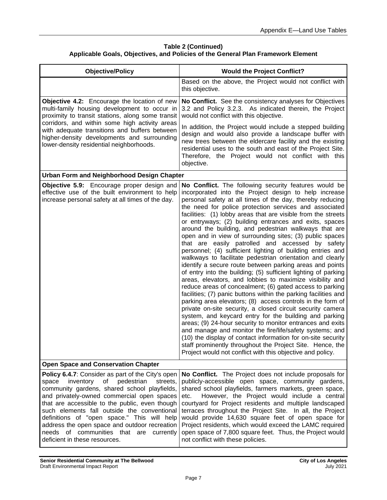| <b>Objective/Policy</b>                                                                                                                                                                                                                                                                                                                                                                                                                                                             | <b>Would the Project Conflict?</b>                                                                                                                                                                                                                                                                                                                                                                                                                                                                                                                                                                                                                                                                                                                                                                                                                                                                                                                                                                                                                                                                                                                                                                                                                                                                                                                                                                                                                                                                       |
|-------------------------------------------------------------------------------------------------------------------------------------------------------------------------------------------------------------------------------------------------------------------------------------------------------------------------------------------------------------------------------------------------------------------------------------------------------------------------------------|----------------------------------------------------------------------------------------------------------------------------------------------------------------------------------------------------------------------------------------------------------------------------------------------------------------------------------------------------------------------------------------------------------------------------------------------------------------------------------------------------------------------------------------------------------------------------------------------------------------------------------------------------------------------------------------------------------------------------------------------------------------------------------------------------------------------------------------------------------------------------------------------------------------------------------------------------------------------------------------------------------------------------------------------------------------------------------------------------------------------------------------------------------------------------------------------------------------------------------------------------------------------------------------------------------------------------------------------------------------------------------------------------------------------------------------------------------------------------------------------------------|
|                                                                                                                                                                                                                                                                                                                                                                                                                                                                                     | Based on the above, the Project would not conflict with<br>this objective.                                                                                                                                                                                                                                                                                                                                                                                                                                                                                                                                                                                                                                                                                                                                                                                                                                                                                                                                                                                                                                                                                                                                                                                                                                                                                                                                                                                                                               |
| <b>Objective 4.2:</b> Encourage the location of new<br>multi-family housing development to occur in<br>proximity to transit stations, along some transit<br>corridors, and within some high activity areas<br>with adequate transitions and buffers between<br>higher-density developments and surrounding<br>lower-density residential neighborhoods.                                                                                                                              | No Conflict. See the consistency analyses for Objectives<br>3.2 and Policy 3.2.3. As indicated therein, the Project<br>would not conflict with this objective.                                                                                                                                                                                                                                                                                                                                                                                                                                                                                                                                                                                                                                                                                                                                                                                                                                                                                                                                                                                                                                                                                                                                                                                                                                                                                                                                           |
|                                                                                                                                                                                                                                                                                                                                                                                                                                                                                     | In addition, the Project would include a stepped building<br>design and would also provide a landscape buffer with<br>new trees between the eldercare facility and the existing<br>residential uses to the south and east of the Project Site.<br>Therefore, the Project would not conflict with this<br>objective.                                                                                                                                                                                                                                                                                                                                                                                                                                                                                                                                                                                                                                                                                                                                                                                                                                                                                                                                                                                                                                                                                                                                                                                      |
| Urban Form and Neighborhood Design Chapter                                                                                                                                                                                                                                                                                                                                                                                                                                          |                                                                                                                                                                                                                                                                                                                                                                                                                                                                                                                                                                                                                                                                                                                                                                                                                                                                                                                                                                                                                                                                                                                                                                                                                                                                                                                                                                                                                                                                                                          |
| <b>Objective 5.9:</b> Encourage proper design and<br>effective use of the built environment to help<br>increase personal safety at all times of the day.                                                                                                                                                                                                                                                                                                                            | No Conflict. The following security features would be<br>incorporated into the Project design to help increase<br>personal safety at all times of the day, thereby reducing<br>the need for police protection services and associated<br>facilities: (1) lobby areas that are visible from the streets<br>or entryways; (2) building entrances and exits, spaces<br>around the building, and pedestrian walkways that are<br>open and in view of surrounding sites; (3) public spaces<br>that are easily patrolled and accessed by safety<br>personnel; (4) sufficient lighting of building entries and<br>walkways to facilitate pedestrian orientation and clearly<br>identify a secure route between parking areas and points<br>of entry into the building; (5) sufficient lighting of parking<br>areas, elevators, and lobbies to maximize visibility and<br>reduce areas of concealment; (6) gated access to parking<br>facilities; (7) panic buttons within the parking facilities and<br>parking area elevators; (8) access controls in the form of<br>private on-site security, a closed circuit security camera<br>system, and keycard entry for the building and parking<br>areas; (9) 24-hour security to monitor entrances and exits<br>and manage and monitor the fire/life/safety systems; and<br>(10) the display of contact information for on-site security<br>staff prominently throughout the Project Site. Hence, the<br>Project would not conflict with this objective and policy. |
| <b>Open Space and Conservation Chapter</b>                                                                                                                                                                                                                                                                                                                                                                                                                                          |                                                                                                                                                                                                                                                                                                                                                                                                                                                                                                                                                                                                                                                                                                                                                                                                                                                                                                                                                                                                                                                                                                                                                                                                                                                                                                                                                                                                                                                                                                          |
| <b>Policy 6.4.7:</b> Consider as part of the City's open<br>inventory of pedestrian<br>space<br>streets,<br>community gardens, shared school playfields,<br>and privately-owned commercial open spaces<br>that are accessible to the public, even though<br>such elements fall outside the conventional<br>definitions of "open space." This will help<br>address the open space and outdoor recreation<br>needs of communities that are currently<br>deficient in these resources. | No Conflict. The Project does not include proposals for<br>publicly-accessible open space, community gardens,<br>shared school playfields, farmers markets, green space,<br>However, the Project would include a central<br>etc.<br>courtyard for Project residents and multiple landscaped<br>terraces throughout the Project Site. In all, the Project<br>would provide 14,630 square feet of open space for<br>Project residents, which would exceed the LAMC required<br>open space of 7,800 square feet. Thus, the Project would<br>not conflict with these policies.                                                                                                                                                                                                                                                                                                                                                                                                                                                                                                                                                                                                                                                                                                                                                                                                                                                                                                                               |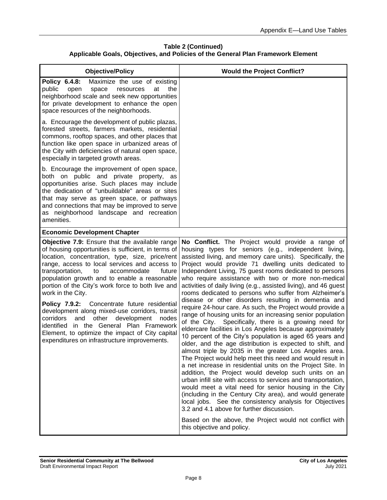| <b>Objective/Policy</b>                                                                                                                                                                                                                                                                                                                                                                                                                                                                                                                                                                                                                                                                        | <b>Would the Project Conflict?</b>                                                                                                                                                                                                                                                                                                                                                                                                                                                                                                                                                                                                                                                                                                                                                                                                                                                                                                                                                                                                                                                                                                                                                                                                                                                                                                                                                                                                                                                                                                                        |
|------------------------------------------------------------------------------------------------------------------------------------------------------------------------------------------------------------------------------------------------------------------------------------------------------------------------------------------------------------------------------------------------------------------------------------------------------------------------------------------------------------------------------------------------------------------------------------------------------------------------------------------------------------------------------------------------|-----------------------------------------------------------------------------------------------------------------------------------------------------------------------------------------------------------------------------------------------------------------------------------------------------------------------------------------------------------------------------------------------------------------------------------------------------------------------------------------------------------------------------------------------------------------------------------------------------------------------------------------------------------------------------------------------------------------------------------------------------------------------------------------------------------------------------------------------------------------------------------------------------------------------------------------------------------------------------------------------------------------------------------------------------------------------------------------------------------------------------------------------------------------------------------------------------------------------------------------------------------------------------------------------------------------------------------------------------------------------------------------------------------------------------------------------------------------------------------------------------------------------------------------------------------|
| Policy 6.4.8:<br>Maximize the use of existing<br>public<br>open<br>space<br>resources<br>at<br>the<br>neighborhood scale and seek new opportunities<br>for private development to enhance the open<br>space resources of the neighborhoods.                                                                                                                                                                                                                                                                                                                                                                                                                                                    |                                                                                                                                                                                                                                                                                                                                                                                                                                                                                                                                                                                                                                                                                                                                                                                                                                                                                                                                                                                                                                                                                                                                                                                                                                                                                                                                                                                                                                                                                                                                                           |
| a. Encourage the development of public plazas,<br>forested streets, farmers markets, residential<br>commons, rooftop spaces, and other places that<br>function like open space in urbanized areas of<br>the City with deficiencies of natural open space,<br>especially in targeted growth areas.                                                                                                                                                                                                                                                                                                                                                                                              |                                                                                                                                                                                                                                                                                                                                                                                                                                                                                                                                                                                                                                                                                                                                                                                                                                                                                                                                                                                                                                                                                                                                                                                                                                                                                                                                                                                                                                                                                                                                                           |
| b. Encourage the improvement of open space,<br>both on public and private property, as<br>opportunities arise. Such places may include<br>the dedication of "unbuildable" areas or sites<br>that may serve as green space, or pathways<br>and connections that may be improved to serve<br>as neighborhood landscape and recreation<br>amenities.                                                                                                                                                                                                                                                                                                                                              |                                                                                                                                                                                                                                                                                                                                                                                                                                                                                                                                                                                                                                                                                                                                                                                                                                                                                                                                                                                                                                                                                                                                                                                                                                                                                                                                                                                                                                                                                                                                                           |
| <b>Economic Development Chapter</b>                                                                                                                                                                                                                                                                                                                                                                                                                                                                                                                                                                                                                                                            |                                                                                                                                                                                                                                                                                                                                                                                                                                                                                                                                                                                                                                                                                                                                                                                                                                                                                                                                                                                                                                                                                                                                                                                                                                                                                                                                                                                                                                                                                                                                                           |
| Objective 7.9: Ensure that the available range<br>of housing opportunities is sufficient, in terms of<br>location, concentration, type, size, price/rent<br>range, access to local services and access to<br>accommodate<br>transportation,<br>to<br>future<br>population growth and to enable a reasonable<br>portion of the City's work force to both live and<br>work in the City.<br>Policy 7.9.2: Concentrate future residential<br>development along mixed-use corridors, transit<br>and<br>other<br>corridors<br>development<br>nodes<br>identified<br>in the General Plan Framework<br>Element, to optimize the impact of City capital<br>expenditures on infrastructure improvements. | No Conflict. The Project would provide a range of<br>housing types for seniors (e.g., independent living,<br>assisted living, and memory care units). Specifically, the<br>Project would provide 71 dwelling units dedicated to<br>Independent Living, 75 guest rooms dedicated to persons<br>who require assistance with two or more non-medical<br>activities of daily living (e.g., assisted living), and 46 guest<br>rooms dedicated to persons who suffer from Alzheimer's<br>disease or other disorders resulting in dementia and<br>require 24-hour care. As such, the Project would provide a<br>range of housing units for an increasing senior population<br>of the City. Specifically, there is a growing need for<br>eldercare facilities in Los Angeles because approximately<br>10 percent of the City's population is aged 65 years and<br>older, and the age distribution is expected to shift, and<br>almost triple by 2035 in the greater Los Angeles area.<br>The Project would help meet this need and would result in<br>a net increase in residential units on the Project Site. In<br>addition, the Project would develop such units on an<br>urban infill site with access to services and transportation,<br>would meet a vital need for senior housing in the City<br>(including in the Century City area), and would generate<br>local jobs. See the consistency analysis for Objectives<br>3.2 and 4.1 above for further discussion.<br>Based on the above, the Project would not conflict with<br>this objective and policy. |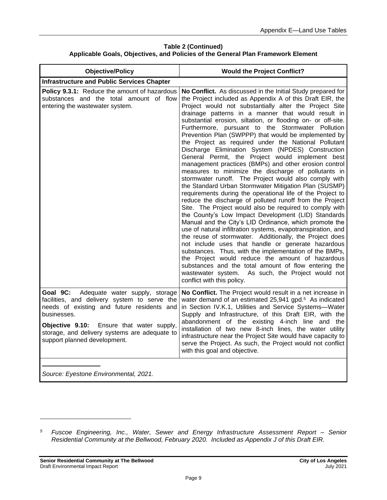| <b>Objective/Policy</b>                                                                                                                                                                                                                                                               | <b>Would the Project Conflict?</b>                                                                                                                                                                                                                                                                                                                                                                                                                                                                                                                                                                                                                                                                                                                                                                                                                                                                                                                                                                                                                                                                                                                                                                                                                                                                                                                                                                                                                                                                                                                                          |
|---------------------------------------------------------------------------------------------------------------------------------------------------------------------------------------------------------------------------------------------------------------------------------------|-----------------------------------------------------------------------------------------------------------------------------------------------------------------------------------------------------------------------------------------------------------------------------------------------------------------------------------------------------------------------------------------------------------------------------------------------------------------------------------------------------------------------------------------------------------------------------------------------------------------------------------------------------------------------------------------------------------------------------------------------------------------------------------------------------------------------------------------------------------------------------------------------------------------------------------------------------------------------------------------------------------------------------------------------------------------------------------------------------------------------------------------------------------------------------------------------------------------------------------------------------------------------------------------------------------------------------------------------------------------------------------------------------------------------------------------------------------------------------------------------------------------------------------------------------------------------------|
| <b>Infrastructure and Public Services Chapter</b>                                                                                                                                                                                                                                     |                                                                                                                                                                                                                                                                                                                                                                                                                                                                                                                                                                                                                                                                                                                                                                                                                                                                                                                                                                                                                                                                                                                                                                                                                                                                                                                                                                                                                                                                                                                                                                             |
| Policy 9.3.1: Reduce the amount of hazardous<br>substances and the total amount of flow<br>entering the wastewater system.                                                                                                                                                            | No Conflict. As discussed in the Initial Study prepared for<br>the Project included as Appendix A of this Draft EIR, the<br>Project would not substantially alter the Project Site<br>drainage patterns in a manner that would result in<br>substantial erosion, siltation, or flooding on- or off-site.<br>Furthermore, pursuant to the Stormwater Pollution<br>Prevention Plan (SWPPP) that would be implemented by<br>the Project as required under the National Pollutant<br>Discharge Elimination System (NPDES) Construction<br>General Permit, the Project would implement best<br>management practices (BMPs) and other erosion control<br>measures to minimize the discharge of pollutants in<br>stormwater runoff. The Project would also comply with<br>the Standard Urban Stormwater Mitigation Plan (SUSMP)<br>requirements during the operational life of the Project to<br>reduce the discharge of polluted runoff from the Project<br>Site. The Project would also be required to comply with<br>the County's Low Impact Development (LID) Standards<br>Manual and the City's LID Ordinance, which promote the<br>use of natural infiltration systems, evapotranspiration, and<br>the reuse of stormwater. Additionally, the Project does<br>not include uses that handle or generate hazardous<br>substances. Thus, with the implementation of the BMPs,<br>the Project would reduce the amount of hazardous<br>substances and the total amount of flow entering the<br>As such, the Project would not<br>wastewater system.<br>conflict with this policy. |
| Goal 9C:<br>Adequate water supply, storage<br>facilities, and delivery system to serve the<br>needs of existing and future residents and<br>businesses.<br>Objective 9.10: Ensure that water supply,<br>storage, and delivery systems are adequate to<br>support planned development. | No Conflict. The Project would result in a net increase in<br>water demand of an estimated 25,941 gpd. <sup>5</sup> As indicated<br>in Section IV.K.1, Utilities and Service Systems-Water<br>Supply and Infrastructure, of this Draft EIR, with the<br>abandonment of the existing 4-inch line and the<br>installation of two new 8-inch lines, the water utility<br>infrastructure near the Project Site would have capacity to<br>serve the Project. As such, the Project would not conflict<br>with this goal and objective.                                                                                                                                                                                                                                                                                                                                                                                                                                                                                                                                                                                                                                                                                                                                                                                                                                                                                                                                                                                                                                            |
|                                                                                                                                                                                                                                                                                       |                                                                                                                                                                                                                                                                                                                                                                                                                                                                                                                                                                                                                                                                                                                                                                                                                                                                                                                                                                                                                                                                                                                                                                                                                                                                                                                                                                                                                                                                                                                                                                             |

*Source: Eyestone Environmental, 2021.*

*<sup>5</sup> Fuscoe Engineering, Inc., Water, Sewer and Energy Infrastructure Assessment Report – Senior Residential Community at the Bellwood, February 2020. Included as Appendix J of this Draft EIR.*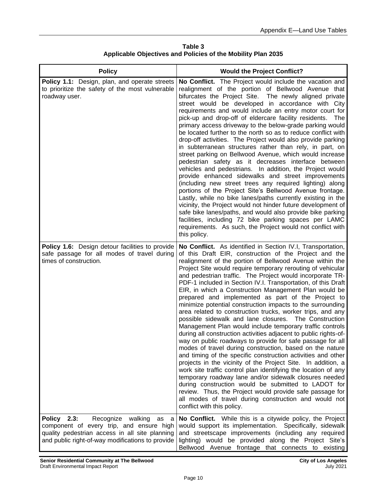**Table 3 Applicable Objectives and Policies of the Mobility Plan 2035**

| <b>Policy</b>                                                                                                                                                                                   | <b>Would the Project Conflict?</b>                                                                                                                                                                                                                                                                                                                                                                                                                                                                                                                                                                                                                                                                                                                                                                                                                                                                                                                                                                                                                                                                                                                                                                                                                                                                                                                                                                                 |
|-------------------------------------------------------------------------------------------------------------------------------------------------------------------------------------------------|--------------------------------------------------------------------------------------------------------------------------------------------------------------------------------------------------------------------------------------------------------------------------------------------------------------------------------------------------------------------------------------------------------------------------------------------------------------------------------------------------------------------------------------------------------------------------------------------------------------------------------------------------------------------------------------------------------------------------------------------------------------------------------------------------------------------------------------------------------------------------------------------------------------------------------------------------------------------------------------------------------------------------------------------------------------------------------------------------------------------------------------------------------------------------------------------------------------------------------------------------------------------------------------------------------------------------------------------------------------------------------------------------------------------|
| Policy 1.1: Design, plan, and operate streets<br>to prioritize the safety of the most vulnerable<br>roadway user.                                                                               | No Conflict. The Project would include the vacation and<br>realignment of the portion of Bellwood Avenue that<br>bifurcates the Project Site. The newly aligned private<br>street would be developed in accordance with City<br>requirements and would include an entry motor court for<br>pick-up and drop-off of eldercare facility residents. The<br>primary access driveway to the below-grade parking would<br>be located further to the north so as to reduce conflict with<br>drop-off activities. The Project would also provide parking<br>in subterranean structures rather than rely, in part, on<br>street parking on Bellwood Avenue, which would increase<br>pedestrian safety as it decreases interface between<br>vehicles and pedestrians. In addition, the Project would<br>provide enhanced sidewalks and street improvements<br>(including new street trees any required lighting) along<br>portions of the Project Site's Bellwood Avenue frontage.<br>Lastly, while no bike lanes/paths currently existing in the<br>vicinity, the Project would not hinder future development of<br>safe bike lanes/paths, and would also provide bike parking<br>facilities, including 72 bike parking spaces per LAMC<br>requirements. As such, the Project would not conflict with<br>this policy.                                                                                                       |
| Policy 1.6: Design detour facilities to provide<br>safe passage for all modes of travel during<br>times of construction.                                                                        | No Conflict. As identified in Section IV.I, Transportation,<br>of this Draft EIR, construction of the Project and the<br>realignment of the portion of Bellwood Avenue within the<br>Project Site would require temporary rerouting of vehicular<br>and pedestrian traffic. The Project would incorporate TR-<br>PDF-1 included in Section IV.I. Transportation, of this Draft<br>EIR, in which a Construction Management Plan would be<br>prepared and implemented as part of the Project to<br>minimize potential construction impacts to the surrounding<br>area related to construction trucks, worker trips, and any<br>possible sidewalk and lane closures. The Construction<br>Management Plan would include temporary traffic controls<br>during all construction activities adjacent to public rights-of-<br>way on public roadways to provide for safe passage for all<br>modes of travel during construction, based on the nature<br>and timing of the specific construction activities and other<br>projects in the vicinity of the Project Site. In addition, a<br>work site traffic control plan identifying the location of any<br>temporary roadway lane and/or sidewalk closures needed<br>during construction would be submitted to LADOT for<br>review. Thus, the Project would provide safe passage for<br>all modes of travel during construction and would not<br>conflict with this policy. |
| Policy 2.3:<br>Recognize walking<br>as<br>a a<br>component of every trip, and ensure high<br>quality pedestrian access in all site planning<br>and public right-of-way modifications to provide | No Conflict. While this is a citywide policy, the Project<br>would support its implementation. Specifically, sidewalk<br>and streetscape improvements (including any required<br>lighting) would be provided along the Project Site's<br>Bellwood Avenue frontage that connects to existing                                                                                                                                                                                                                                                                                                                                                                                                                                                                                                                                                                                                                                                                                                                                                                                                                                                                                                                                                                                                                                                                                                                        |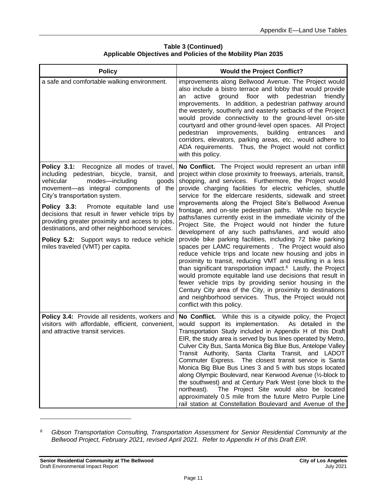| <b>Policy</b>                                                                                                                                                                                                                                                                                                                                                                                                                                                                                            | <b>Would the Project Conflict?</b>                                                                                                                                                                                                                                                                                                                                                                                                                                                                                                                                                                                                                                                                                                                                                                                                                                                                                                                                                                                                                                                                                                                                                                                             |
|----------------------------------------------------------------------------------------------------------------------------------------------------------------------------------------------------------------------------------------------------------------------------------------------------------------------------------------------------------------------------------------------------------------------------------------------------------------------------------------------------------|--------------------------------------------------------------------------------------------------------------------------------------------------------------------------------------------------------------------------------------------------------------------------------------------------------------------------------------------------------------------------------------------------------------------------------------------------------------------------------------------------------------------------------------------------------------------------------------------------------------------------------------------------------------------------------------------------------------------------------------------------------------------------------------------------------------------------------------------------------------------------------------------------------------------------------------------------------------------------------------------------------------------------------------------------------------------------------------------------------------------------------------------------------------------------------------------------------------------------------|
| a safe and comfortable walking environment.                                                                                                                                                                                                                                                                                                                                                                                                                                                              | improvements along Bellwood Avenue. The Project would<br>also include a bistro terrace and lobby that would provide<br>ground floor with<br>active<br>pedestrian<br>friendly<br>an<br>improvements. In addition, a pedestrian pathway around<br>the westerly, southerly and easterly setbacks of the Project<br>would provide connectivity to the ground-level on-site<br>courtyard and other ground-level open spaces. All Project<br>pedestrian<br>improvements,<br>building<br>entrances<br>and<br>corridors, elevators, parking areas, etc., would adhere to<br>ADA requirements. Thus, the Project would not conflict<br>with this policy.                                                                                                                                                                                                                                                                                                                                                                                                                                                                                                                                                                                |
| Policy 3.1: Recognize all modes of travel,<br>including pedestrian, bicycle, transit, and<br>modes-including<br>vehicular<br>goods<br>movement-as integral components of the<br>City's transportation system.<br>Policy 3.3: Promote equitable land use<br>decisions that result in fewer vehicle trips by<br>providing greater proximity and access to jobs,<br>destinations, and other neighborhood services.<br><b>Policy 5.2:</b> Support ways to reduce vehicle<br>miles traveled (VMT) per capita. | No Conflict. The Project would represent an urban infill<br>project within close proximity to freeways, arterials, transit,<br>shopping, and services. Furthermore, the Project would<br>provide charging facilities for electric vehicles, shuttle<br>service for the eldercare residents, sidewalk and street<br>improvements along the Project Site's Bellwood Avenue<br>frontage, and on-site pedestrian paths. While no bicycle<br>paths/lanes currently exist in the immediate vicinity of the<br>Project Site, the Project would not hinder the future<br>development of any such paths/lanes, and would also<br>provide bike parking facilities, including 72 bike parking<br>spaces per LAMC requirements . The Project would also<br>reduce vehicle trips and locate new housing and jobs in<br>proximity to transit, reducing VMT and resulting in a less<br>than significant transportation impact. <sup>6</sup> Lastly, the Project<br>would promote equitable land use decisions that result in<br>fewer vehicle trips by providing senior housing in the<br>Century City area of the City, in proximity to destinations<br>and neighborhood services. Thus, the Project would not<br>conflict with this policy. |
| Policy 3.4: Provide all residents, workers and<br>visitors with affordable, efficient, convenient,<br>and attractive transit services.                                                                                                                                                                                                                                                                                                                                                                   | No Conflict. While this is a citywide policy, the Project<br>would support its implementation.<br>As detailed in the<br>Transportation Study included in Appendix H of this Draft<br>EIR, the study area is served by bus lines operated by Metro,<br>Culver City Bus, Santa Monica Big Blue Bus, Antelope Valley<br>Transit Authority, Santa Clarita Transit, and LADOT<br>Commuter Express. The closest transit service is Santa<br>Monica Big Blue Bus Lines 3 and 5 with bus stops located<br>along Olympic Boulevard, near Kerwood Avenue (1/2-block to<br>the southwest) and at Century Park West (one block to the<br>The Project Site would also be located<br>northeast).<br>approximately 0.5 mile from the future Metro Purple Line<br>rail station at Constellation Boulevard and Avenue of the                                                                                                                                                                                                                                                                                                                                                                                                                    |

#### **Table 3 (Continued) Applicable Objectives and Policies of the Mobility Plan 2035**

*<sup>6</sup> Gibson Transportation Consulting, Transportation Assessment for Senior Residential Community at the Bellwood Project, February 2021, revised April 2021. Refer to Appendix H of this Draft EIR.*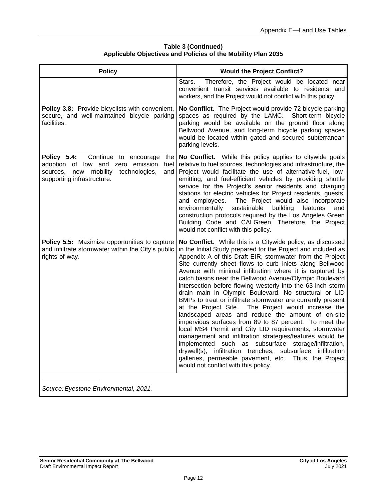| <b>Policy</b>                                                                                                                                                           | <b>Would the Project Conflict?</b>                                                                                                                                                                                                                                                                                                                                                                                                                                                                                                                                                                                                                                                                                                                                                                                                                              |
|-------------------------------------------------------------------------------------------------------------------------------------------------------------------------|-----------------------------------------------------------------------------------------------------------------------------------------------------------------------------------------------------------------------------------------------------------------------------------------------------------------------------------------------------------------------------------------------------------------------------------------------------------------------------------------------------------------------------------------------------------------------------------------------------------------------------------------------------------------------------------------------------------------------------------------------------------------------------------------------------------------------------------------------------------------|
|                                                                                                                                                                         | Therefore, the Project would be located near<br>Stars.<br>convenient transit services available to residents and<br>workers, and the Project would not conflict with this policy.                                                                                                                                                                                                                                                                                                                                                                                                                                                                                                                                                                                                                                                                               |
| Policy 3.8: Provide bicyclists with convenient,<br>secure, and well-maintained bicycle parking<br>facilities.                                                           | No Conflict. The Project would provide 72 bicycle parking<br>spaces as required by the LAMC. Short-term bicycle<br>parking would be available on the ground floor along<br>Bellwood Avenue, and long-term bicycle parking spaces<br>would be located within gated and secured subterranean<br>parking levels.                                                                                                                                                                                                                                                                                                                                                                                                                                                                                                                                                   |
| Policy 5.4:<br>Continue to encourage<br>the<br>adoption of low and zero emission<br>fuel<br>new mobility technologies,<br>and<br>sources,<br>supporting infrastructure. | No Conflict. While this policy applies to citywide goals<br>relative to fuel sources, technologies and infrastructure, the<br>Project would facilitate the use of alternative-fuel, low-<br>emitting, and fuel-efficient vehicles by providing shuttle<br>service for the Project's senior residents and charging<br>stations for electric vehicles for Project residents, guests,<br>The Project would also incorporate<br>and employees.<br>environmentally<br>sustainable<br>building<br>features<br>and<br>construction protocols required by the Los Angeles Green<br>Building Code and CALGreen. Therefore, the Project<br>would not conflict with this policy.                                                                                                                                                                                           |
| Policy 5.5: Maximize opportunities to capture<br>and infiltrate stormwater within the City's public<br>rights-of-way.                                                   | No Conflict. While this is a Citywide policy, as discussed<br>in the Initial Study prepared for the Project and included as<br>Appendix A of this Draft EIR, stormwater from the Project<br>Site currently sheet flows to curb inlets along Bellwood<br>Avenue with minimal infiltration where it is captured by<br>catch basins near the Bellwood Avenue/Olympic Boulevard<br>intersection before flowing westerly into the 63-inch storm<br>drain main in Olympic Boulevard. No structural or LID<br>BMPs to treat or infiltrate stormwater are currently present<br>at the Project Site. The Project would increase the<br>landscaped areas and reduce the amount of on-site<br>impervious surfaces from 89 to 87 percent. To meet the<br>local MS4 Permit and City LID requirements, stormwater<br>management and infiltration strategies/features would be |

#### **Table 3 (Continued) Applicable Objectives and Policies of the Mobility Plan 2035**

*Source: Eyestone Environmental, 2021.*

implemented such as subsurface storage/infiltration, drywell(s), infiltration trenches, subsurface infiltration galleries, permeable pavement, etc. Thus, the Project

would not conflict with this policy.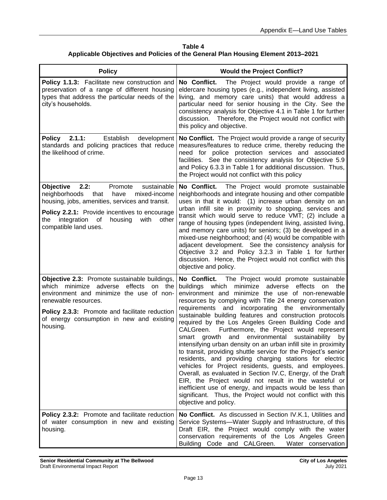| Table 4                                                                          |
|----------------------------------------------------------------------------------|
| Applicable Objectives and Policies of the General Plan Housing Element 2013-2021 |

| <b>Policy</b>                                                                                                                                                                                                                                                                               | <b>Would the Project Conflict?</b>                                                                                                                                                                                                                                                                                                                                                                                                                                                                                                                                                                                                                                                                                                                                                                                                                                                                                                                                                                                                                                                     |
|---------------------------------------------------------------------------------------------------------------------------------------------------------------------------------------------------------------------------------------------------------------------------------------------|----------------------------------------------------------------------------------------------------------------------------------------------------------------------------------------------------------------------------------------------------------------------------------------------------------------------------------------------------------------------------------------------------------------------------------------------------------------------------------------------------------------------------------------------------------------------------------------------------------------------------------------------------------------------------------------------------------------------------------------------------------------------------------------------------------------------------------------------------------------------------------------------------------------------------------------------------------------------------------------------------------------------------------------------------------------------------------------|
| Policy 1.1.3: Facilitate new construction and<br>preservation of a range of different housing<br>types that address the particular needs of the<br>city's households.                                                                                                                       | No Conflict.<br>The Project would provide a range of<br>eldercare housing types (e.g., independent living, assisted<br>living, and memory care units) that would address a<br>particular need for senior housing in the City. See the<br>consistency analysis for Objective 4.1 in Table 1 for further<br>discussion. Therefore, the Project would not conflict with<br>this policy and objective.                                                                                                                                                                                                                                                                                                                                                                                                                                                                                                                                                                                                                                                                                     |
| Policy 2.1.1:<br>Establish<br>development<br>standards and policing practices that reduce<br>the likelihood of crime.                                                                                                                                                                       | No Conflict. The Project would provide a range of security<br>measures/features to reduce crime, thereby reducing the<br>need for police protection services and associated<br>facilities. See the consistency analysis for Objective 5.9<br>and Policy 6.3.3 in Table 1 for additional discussion. Thus,<br>the Project would not conflict with this policy                                                                                                                                                                                                                                                                                                                                                                                                                                                                                                                                                                                                                                                                                                                           |
| 2.2:<br>Objective<br>sustainable<br>Promote<br>neighborhoods<br>have<br>mixed-income<br>that<br>housing, jobs, amenities, services and transit.<br>Policy 2.2.1: Provide incentives to encourage<br>integration of<br>housing<br>with<br>the<br>other<br>compatible land uses.              | No Conflict.<br>The Project would promote sustainable<br>neighborhoods and integrate housing and other compatible<br>uses in that it would: (1) increase urban density on an<br>urban infill site in proximity to shopping, services and<br>transit which would serve to reduce VMT; (2) include a<br>range of housing types (independent living, assisted living,<br>and memory care units) for seniors; (3) be developed in a<br>mixed-use neighborhood; and (4) would be compatible with<br>adjacent development. See the consistency analysis for<br>Objective 3.2 and Policy 3.2.3 in Table 1 for further<br>discussion. Hence, the Project would not conflict with this<br>objective and policy.                                                                                                                                                                                                                                                                                                                                                                                 |
| <b>Objective 2.3:</b> Promote sustainable buildings,<br>minimize<br>adverse<br>effects<br>which<br>on<br>the<br>environment and minimize the use of non-<br>renewable resources.<br>Policy 2.3.3: Promote and facilitate reduction<br>of energy consumption in new and existing<br>housing. | No Conflict.<br>The Project would promote sustainable<br>minimize<br>adverse<br>effects<br>buildings which<br>on<br>the<br>environment and minimize the use of non-renewable<br>resources by complying with Title 24 energy conservation<br>and incorporating the environmentally<br>requirements<br>sustainable building features and construction protocols<br>required by the Los Angeles Green Building Code and<br>Furthermore, the Project would represent<br>CALGreen.<br>environmental<br>sustainability<br>growth<br>and<br>by<br>smart<br>intensifying urban density on an urban infill site in proximity<br>to transit, providing shuttle service for the Project's senior<br>residents, and providing charging stations for electric<br>vehicles for Project residents, guests, and employees.<br>Overall, as evaluated in Section IV.C, Energy, of the Draft<br>EIR, the Project would not result in the wasteful or<br>inefficient use of energy, and impacts would be less than<br>significant. Thus, the Project would not conflict with this<br>objective and policy. |
| Policy 2.3.2: Promote and facilitate reduction<br>of water consumption in new and existing<br>housing.                                                                                                                                                                                      | No Conflict. As discussed in Section IV.K.1, Utilities and<br>Service Systems-Water Supply and Infrastructure, of this<br>Draft EIR, the Project would comply with the water<br>conservation requirements of the Los Angeles Green<br>Building Code and CALGreen.<br>Water conservation                                                                                                                                                                                                                                                                                                                                                                                                                                                                                                                                                                                                                                                                                                                                                                                                |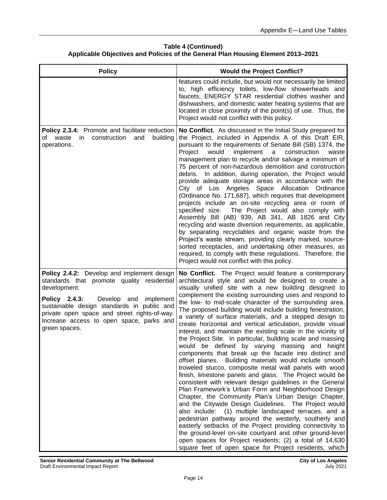# **Table 4 (Continued) Applicable Objectives and Policies of the General Plan Housing Element 2013–2021**

| <b>Policy</b>                                                                                                                                                                                                                                                                                                    | <b>Would the Project Conflict?</b>                                                                                                                                                                                                                                                                                                                                                                                                                                                                                                                                                                                                                                                                                                                                                                                                                                                                                                                                                                                                                                                                                                                                                                                                                                                                                                                                                                                                                                                                                      |
|------------------------------------------------------------------------------------------------------------------------------------------------------------------------------------------------------------------------------------------------------------------------------------------------------------------|-------------------------------------------------------------------------------------------------------------------------------------------------------------------------------------------------------------------------------------------------------------------------------------------------------------------------------------------------------------------------------------------------------------------------------------------------------------------------------------------------------------------------------------------------------------------------------------------------------------------------------------------------------------------------------------------------------------------------------------------------------------------------------------------------------------------------------------------------------------------------------------------------------------------------------------------------------------------------------------------------------------------------------------------------------------------------------------------------------------------------------------------------------------------------------------------------------------------------------------------------------------------------------------------------------------------------------------------------------------------------------------------------------------------------------------------------------------------------------------------------------------------------|
|                                                                                                                                                                                                                                                                                                                  | features could include, but would not necessarily be limited<br>to, high efficiency toilets, low-flow showerheads and<br>faucets, ENERGY STAR residential clothes washer and<br>dishwashers, and domestic water heating systems that are<br>located in close proximity of the point(s) of use. Thus, the<br>Project would not conflict with this policy.                                                                                                                                                                                                                                                                                                                                                                                                                                                                                                                                                                                                                                                                                                                                                                                                                                                                                                                                                                                                                                                                                                                                                                |
| Policy 2.3.4: Promote and facilitate reduction<br>waste<br>in<br>construction and<br>building<br>of<br>operations.                                                                                                                                                                                               | No Conflict. As discussed in the Initial Study prepared for<br>the Project, included in Appendix A of this Draft EIR,<br>pursuant to the requirements of Senate Bill (SB) 1374, the<br>would<br>implement<br>Project<br>a<br>construction<br>waste<br>management plan to recycle and/or salvage a minimum of<br>75 percent of non-hazardous demolition and construction<br>debris. In addition, during operation, the Project would<br>provide adequate storage areas in accordance with the<br>City of Los Angeles Space Allocation Ordinance<br>(Ordinance No. 171,687), which requires that development<br>projects include an on-site recycling area or room of<br>specified size. The Project would also comply with<br>Assembly Bill (AB) 939, AB 341, AB 1826 and City<br>recycling and waste diversion requirements, as applicable,<br>by separating recyclables and organic waste from the<br>Project's waste stream, providing clearly marked, source-<br>sorted receptacles, and undertaking other measures, as<br>required, to comply with these regulations. Therefore, the<br>Project would not conflict with this policy.                                                                                                                                                                                                                                                                                                                                                                                |
| Policy 2.4.2: Develop and implement design<br>standards that promote quality residential<br>development.<br>Policy 2.4.3:<br>Develop and<br>implement<br>sustainable design standards in public and<br>private open space and street rights-of-way.<br>Increase access to open space, parks and<br>green spaces. | No Conflict. The Project would feature a contemporary<br>architectural style and would be designed to create a<br>visually unified site with a new building designed to<br>complement the existing surrounding uses and respond to<br>the low- to mid-scale character of the surrounding area.<br>The proposed building would include building fenestration,<br>a variety of surface materials, and a stepped design to<br>create horizontal and vertical articulation, provide visual<br>interest, and maintain the existing scale in the vicinity of<br>the Project Site. In particular, building scale and massing<br>would be defined by varying massing and height<br>components that break up the facade into distinct and<br>offset planes. Building materials would include smooth<br>troweled stucco, composite metal wall panels with wood<br>finish, limestone panels and glass. The Project would be<br>consistent with relevant design guidelines in the General<br>Plan Framework's Urban Form and Neighborhood Design<br>Chapter, the Community Plan's Urban Design Chapter,<br>and the Citywide Design Guidelines. The Project would<br>also include: (1) multiple landscaped terraces, and a<br>pedestrian pathway around the westerly, southerly and<br>easterly setbacks of the Project providing connectivity to<br>the ground-level on-site courtyard and other ground-level<br>open spaces for Project residents; (2) a total of 14,630<br>square feet of open space for Project residents, which |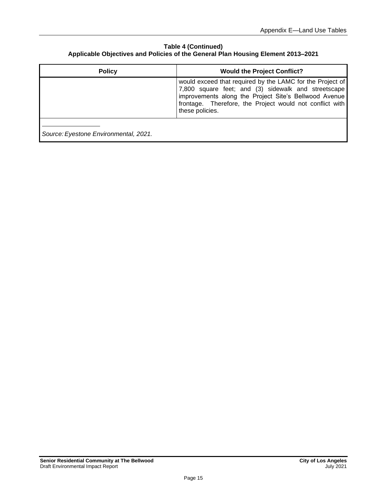#### **Table 4 (Continued) Applicable Objectives and Policies of the General Plan Housing Element 2013–2021**

| <b>Policy</b>                         | <b>Would the Project Conflict?</b>                                                                                                                                                                                                                       |
|---------------------------------------|----------------------------------------------------------------------------------------------------------------------------------------------------------------------------------------------------------------------------------------------------------|
|                                       | would exceed that required by the LAMC for the Project of<br>7,800 square feet; and (3) sidewalk and streetscape<br>improvements along the Project Site's Bellwood Avenue<br>frontage. Therefore, the Project would not conflict with<br>these policies. |
| Source: Eyestone Environmental, 2021. |                                                                                                                                                                                                                                                          |

Ш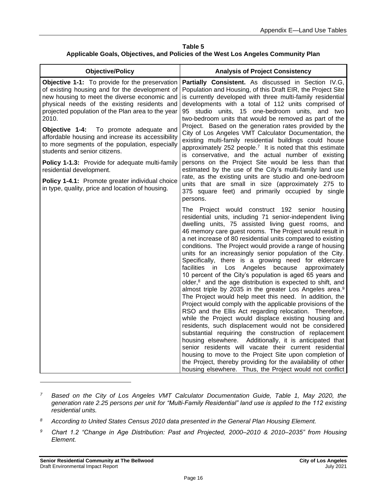**Table 5 Applicable Goals, Objectives, and Policies of the West Los Angeles Community Plan**

| <b>Objective/Policy</b>                                                                                                                                                                                                                                                                                                                                                                                                                                                                                                                                                                                                                | <b>Analysis of Project Consistency</b>                                                                                                                                                                                                                                                                                                                                                                                                                                                                                                                                                                                                                                                                                                                                                                                                                                                                                                                                                                                                                                                                                                                                                                                                                                                                                                                                                                                      |
|----------------------------------------------------------------------------------------------------------------------------------------------------------------------------------------------------------------------------------------------------------------------------------------------------------------------------------------------------------------------------------------------------------------------------------------------------------------------------------------------------------------------------------------------------------------------------------------------------------------------------------------|-----------------------------------------------------------------------------------------------------------------------------------------------------------------------------------------------------------------------------------------------------------------------------------------------------------------------------------------------------------------------------------------------------------------------------------------------------------------------------------------------------------------------------------------------------------------------------------------------------------------------------------------------------------------------------------------------------------------------------------------------------------------------------------------------------------------------------------------------------------------------------------------------------------------------------------------------------------------------------------------------------------------------------------------------------------------------------------------------------------------------------------------------------------------------------------------------------------------------------------------------------------------------------------------------------------------------------------------------------------------------------------------------------------------------------|
| Objective 1-1: To provide for the preservation<br>of existing housing and for the development of<br>new housing to meet the diverse economic and<br>physical needs of the existing residents and<br>projected population of the Plan area to the year<br>2010.<br>Objective 1-4: To promote adequate and<br>affordable housing and increase its accessibility<br>to more segments of the population, especially<br>students and senior citizens.<br>Policy 1-1.3: Provide for adequate multi-family<br>residential development.<br>Policy 1-4.1: Promote greater individual choice<br>in type, quality, price and location of housing. | Partially Consistent. As discussed in Section IV.G,<br>Population and Housing, of this Draft EIR, the Project Site<br>is currently developed with three multi-family residential<br>developments with a total of 112 units comprised of<br>95 studio units, 15 one-bedroom units, and two<br>two-bedroom units that would be removed as part of the<br>Project. Based on the generation rates provided by the<br>City of Los Angeles VMT Calculator Documentation, the<br>existing multi-family residential buildings could house<br>approximately 252 people. <sup>7</sup> It is noted that this estimate<br>is conservative, and the actual number of existing<br>persons on the Project Site would be less than that<br>estimated by the use of the City's multi-family land use<br>rate, as the existing units are studio and one-bedroom<br>units that are small in size (approximately 275 to<br>375 square feet) and primarily occupied by single<br>persons.                                                                                                                                                                                                                                                                                                                                                                                                                                                        |
|                                                                                                                                                                                                                                                                                                                                                                                                                                                                                                                                                                                                                                        | The Project would construct 192 senior housing<br>residential units, including 71 senior-independent living<br>dwelling units, 75 assisted living guest rooms, and<br>46 memory care guest rooms. The Project would result in<br>a net increase of 80 residential units compared to existing<br>conditions. The Project would provide a range of housing<br>units for an increasingly senior population of the City.<br>Specifically, there is a growing need for eldercare<br>facilities in Los<br>Angeles<br>because<br>approximately<br>10 percent of the City's population is aged 65 years and<br>older, <sup>8</sup> and the age distribution is expected to shift, and<br>almost triple by 2035 in the greater Los Angeles area. <sup>9</sup><br>The Project would help meet this need. In addition, the<br>Project would comply with the applicable provisions of the<br>RSO and the Ellis Act regarding relocation. Therefore,<br>while the Project would displace existing housing and<br>residents, such displacement would not be considered<br>substantial requiring the construction of replacement<br>housing elsewhere. Additionally, it is anticipated that<br>senior residents will vacate their current residential<br>housing to move to the Project Site upon completion of<br>the Project, thereby providing for the availability of other<br>housing elsewhere. Thus, the Project would not conflict |

- *<sup>7</sup> Based on the City of Los Angeles VMT Calculator Documentation Guide, Table 1, May 2020, the generation rate 2.25 persons per unit for "Multi-Family Residential" land use is applied to the 112 existing residential units.*
- *<sup>8</sup> According to United States Census 2010 data presented in the General Plan Housing Element.*
- *<sup>9</sup> Chart 1.2 "Change in Age Distribution: Past and Projected, 2000–2010 & 2010–2035" from Housing Element.*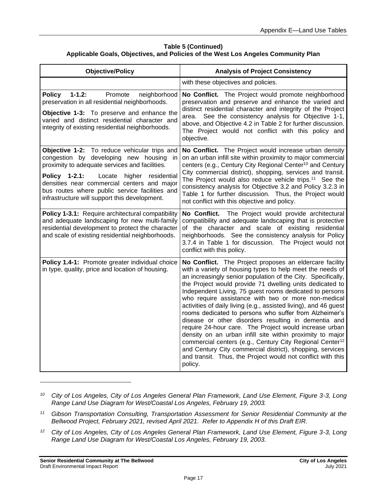#### **Table 5 (Continued) Applicable Goals, Objectives, and Policies of the West Los Angeles Community Plan**

| <b>Objective/Policy</b>                                                                                                                                                                                                                                                                                                                         | <b>Analysis of Project Consistency</b>                                                                                                                                                                                                                                                                                                                                                                                                                                                                                                                                                                                                                                                                                                                                                                                                                                                         |
|-------------------------------------------------------------------------------------------------------------------------------------------------------------------------------------------------------------------------------------------------------------------------------------------------------------------------------------------------|------------------------------------------------------------------------------------------------------------------------------------------------------------------------------------------------------------------------------------------------------------------------------------------------------------------------------------------------------------------------------------------------------------------------------------------------------------------------------------------------------------------------------------------------------------------------------------------------------------------------------------------------------------------------------------------------------------------------------------------------------------------------------------------------------------------------------------------------------------------------------------------------|
|                                                                                                                                                                                                                                                                                                                                                 | with these objectives and policies.                                                                                                                                                                                                                                                                                                                                                                                                                                                                                                                                                                                                                                                                                                                                                                                                                                                            |
| $1 - 1.2$ :<br>Promote<br><b>Policy</b><br>neighborhood<br>preservation in all residential neighborhoods.<br>Objective 1-3: To preserve and enhance the<br>varied and distinct residential character and<br>integrity of existing residential neighborhoods.                                                                                    | No Conflict. The Project would promote neighborhood<br>preservation and preserve and enhance the varied and<br>distinct residential character and integrity of the Project<br>area. See the consistency analysis for Objective 1-1,<br>above, and Objective 4.2 in Table 2 for further discussion.<br>The Project would not conflict with this policy and<br>objective.                                                                                                                                                                                                                                                                                                                                                                                                                                                                                                                        |
| Objective 1-2: To reduce vehicular trips and<br>congestion by developing new housing<br>in<br>proximity to adequate services and facilities.<br>Policy 1-2.1:<br>Locate<br>higher residential<br>densities near commercial centers and major<br>bus routes where public service facilities and<br>infrastructure will support this development. | No Conflict. The Project would increase urban density<br>on an urban infill site within proximity to major commercial<br>centers (e.g., Century City Regional Center <sup>10</sup> and Century<br>City commercial district), shopping, services and transit.<br>The Project would also reduce vehicle trips. <sup>11</sup> See the<br>consistency analysis for Objective 3.2 and Policy 3.2.3 in<br>Table 1 for further discussion. Thus, the Project would<br>not conflict with this objective and policy.                                                                                                                                                                                                                                                                                                                                                                                    |
| Policy 1-3.1: Require architectural compatibility<br>and adequate landscaping for new multi-family<br>residential development to protect the character<br>and scale of existing residential neighborhoods.                                                                                                                                      | The Project would provide architectural<br>No Conflict.<br>compatibility and adequate landscaping that is protective<br>of the character and scale of existing residential<br>neighborhoods. See the consistency analysis for Policy<br>3.7.4 in Table 1 for discussion. The Project would not<br>conflict with this policy.                                                                                                                                                                                                                                                                                                                                                                                                                                                                                                                                                                   |
| Policy 1.4-1: Promote greater individual choice<br>in type, quality, price and location of housing.                                                                                                                                                                                                                                             | No Conflict. The Project proposes an eldercare facility<br>with a variety of housing types to help meet the needs of<br>an increasingly senior population of the City. Specifically,<br>the Project would provide 71 dwelling units dedicated to<br>Independent Living, 75 guest rooms dedicated to persons<br>who require assistance with two or more non-medical<br>activities of daily living (e.g., assisted living), and 46 guest<br>rooms dedicated to persons who suffer from Alzheimer's<br>disease or other disorders resulting in dementia and<br>require 24-hour care. The Project would increase urban<br>density on an urban infill site within proximity to major<br>commercial centers (e.g., Century City Regional Center <sup>12</sup><br>and Century City commercial district), shopping, services<br>and transit. Thus, the Project would not conflict with this<br>policy. |

*<sup>10</sup> City of Los Angeles, City of Los Angeles General Plan Framework, Land Use Element, Figure 3-3, Long Range Land Use Diagram for West/Coastal Los Angeles, February 19, 2003.*

- *<sup>11</sup> Gibson Transportation Consulting, Transportation Assessment for Senior Residential Community at the Bellwood Project, February 2021, revised April 2021. Refer to Appendix H of this Draft EIR.*
- *<sup>12</sup> City of Los Angeles, City of Los Angeles General Plan Framework, Land Use Element, Figure 3-3, Long Range Land Use Diagram for West/Coastal Los Angeles, February 19, 2003.*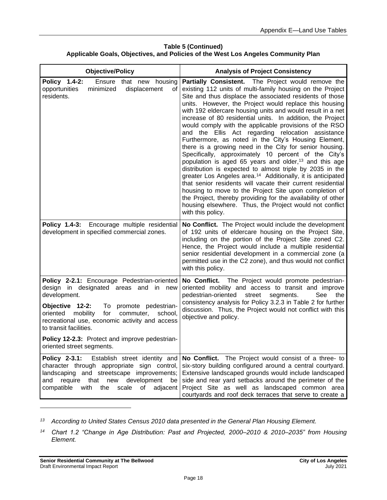**Table 5 (Continued) Applicable Goals, Objectives, and Policies of the West Los Angeles Community Plan**

| <b>Objective/Policy</b>                                                                                                                                                                                                                                                              | <b>Analysis of Project Consistency</b>                                                                                                                                                                                                                                                                                                                                                                                                                                                                                                                                                                                                                                                                                                                                                                                                                                                                                                                                                                                                                                                                                                           |
|--------------------------------------------------------------------------------------------------------------------------------------------------------------------------------------------------------------------------------------------------------------------------------------|--------------------------------------------------------------------------------------------------------------------------------------------------------------------------------------------------------------------------------------------------------------------------------------------------------------------------------------------------------------------------------------------------------------------------------------------------------------------------------------------------------------------------------------------------------------------------------------------------------------------------------------------------------------------------------------------------------------------------------------------------------------------------------------------------------------------------------------------------------------------------------------------------------------------------------------------------------------------------------------------------------------------------------------------------------------------------------------------------------------------------------------------------|
| Policy 1.4-2:<br>Ensure that new housing<br>opportunities<br>minimized<br>displacement<br>οf<br>residents.                                                                                                                                                                           | Partially Consistent. The Project would remove the<br>existing 112 units of multi-family housing on the Project<br>Site and thus displace the associated residents of those<br>units. However, the Project would replace this housing<br>with 192 eldercare housing units and would result in a net<br>increase of 80 residential units. In addition, the Project<br>would comply with the applicable provisions of the RSO<br>and the Ellis Act regarding relocation assistance<br>Furthermore, as noted in the City's Housing Element,<br>there is a growing need in the City for senior housing.<br>Specifically, approximately 10 percent of the City's<br>population is aged 65 years and older, <sup>13</sup> and this age<br>distribution is expected to almost triple by 2035 in the<br>greater Los Angeles area. <sup>14</sup> Additionally, it is anticipated<br>that senior residents will vacate their current residential<br>housing to move to the Project Site upon completion of<br>the Project, thereby providing for the availability of other<br>housing elsewhere. Thus, the Project would not conflict<br>with this policy. |
| Policy 1.4-3: Encourage multiple residential<br>development in specified commercial zones.                                                                                                                                                                                           | No Conflict. The Project would include the development<br>of 192 units of eldercare housing on the Project Site,<br>including on the portion of the Project Site zoned C2.<br>Hence, the Project would include a multiple residential<br>senior residential development in a commercial zone (a<br>permitted use in the C2 zone), and thus would not conflict<br>with this policy.                                                                                                                                                                                                                                                                                                                                                                                                                                                                                                                                                                                                                                                                                                                                                               |
| Policy 2-2.1: Encourage Pedestrian-oriented<br>design in designated areas and in new<br>development.<br>Objective 12-2:<br>To promote pedestrian-<br>oriented<br>mobility<br>for<br>commuter,<br>school,<br>recreational use, economic activity and access<br>to transit facilities. | No Conflict. The Project would promote pedestrian-<br>oriented mobility and access to transit and improve<br>pedestrian-oriented<br>See<br>street<br>the<br>segments.<br>consistency analysis for Policy 3.2.3 in Table 2 for further<br>discussion. Thus, the Project would not conflict with this<br>objective and policy.                                                                                                                                                                                                                                                                                                                                                                                                                                                                                                                                                                                                                                                                                                                                                                                                                     |
| Policy 12-2.3: Protect and improve pedestrian-<br>oriented street segments.                                                                                                                                                                                                          |                                                                                                                                                                                                                                                                                                                                                                                                                                                                                                                                                                                                                                                                                                                                                                                                                                                                                                                                                                                                                                                                                                                                                  |
| Policy 2-3.1:<br>Establish street identity and<br>character through appropriate sign control,<br>landscaping and streetscape improvements;<br>development<br>that<br>new<br>and<br>require<br>be<br>compatible<br>with<br>the<br>scale<br>of<br>adjacent                             | No Conflict. The Project would consist of a three- to<br>six-story building configured around a central courtyard.<br>Extensive landscaped grounds would include landscaped<br>side and rear yard setbacks around the perimeter of the<br>Project Site as well as landscaped common area<br>courtyards and roof deck terraces that serve to create a                                                                                                                                                                                                                                                                                                                                                                                                                                                                                                                                                                                                                                                                                                                                                                                             |

*<sup>13</sup> According to United States Census 2010 data presented in the General Plan Housing Element.*

*<sup>14</sup> Chart 1.2 "Change in Age Distribution: Past and Projected, 2000–2010 & 2010–2035" from Housing Element.*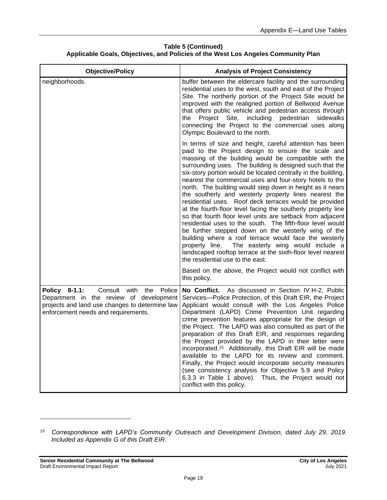| Table 5 (Continued) |                                                                                   |  |
|---------------------|-----------------------------------------------------------------------------------|--|
|                     | Applicable Goals, Objectives, and Policies of the West Los Angeles Community Plan |  |

| <b>Objective/Policy</b>                                                                                                                                                               | <b>Analysis of Project Consistency</b>                                                                                                                                                                                                                                                                                                                                                                                                                                                                                                                                                                                                                                                                                                                                                                                                                                                                                                                                                                               |
|---------------------------------------------------------------------------------------------------------------------------------------------------------------------------------------|----------------------------------------------------------------------------------------------------------------------------------------------------------------------------------------------------------------------------------------------------------------------------------------------------------------------------------------------------------------------------------------------------------------------------------------------------------------------------------------------------------------------------------------------------------------------------------------------------------------------------------------------------------------------------------------------------------------------------------------------------------------------------------------------------------------------------------------------------------------------------------------------------------------------------------------------------------------------------------------------------------------------|
| neighborhoods.                                                                                                                                                                        | buffer between the eldercare facility and the surrounding<br>residential uses to the west, south and east of the Project<br>Site. The northerly portion of the Project Site would be<br>improved with the realigned portion of Bellwood Avenue<br>that offers public vehicle and pedestrian access through<br>the<br>Project<br>Site,<br>including<br>pedestrian<br>sidewalks<br>connecting the Project to the commercial uses along<br>Olympic Boulevard to the north.                                                                                                                                                                                                                                                                                                                                                                                                                                                                                                                                              |
|                                                                                                                                                                                       | In terms of size and height, careful attention has been<br>paid to the Project design to ensure the scale and<br>massing of the building would be compatible with the<br>surrounding uses. The building is designed such that the<br>six-story portion would be located centrally in the building,<br>nearest the commercial uses and four-story hotels to the<br>north. The building would step down in height as it nears<br>the southerly and westerly property lines nearest the<br>residential uses. Roof deck terraces would be provided<br>at the fourth-floor level facing the southerly property line<br>so that fourth floor level units are setback from adjacent<br>residential uses to the south. The fifth-floor level would<br>be further stepped down on the westerly wing of the<br>building where a roof terrace would face the westerly<br>The easterly wing would include a<br>property line.<br>landscaped rooftop terrace at the sixth-floor level nearest<br>the residential use to the east. |
|                                                                                                                                                                                       | Based on the above, the Project would not conflict with<br>this policy.                                                                                                                                                                                                                                                                                                                                                                                                                                                                                                                                                                                                                                                                                                                                                                                                                                                                                                                                              |
| Policy 8-1.1:<br>Consult<br>with<br>Police<br>the<br>Department in the review of development<br>projects and land use changes to determine law<br>enforcement needs and requirements. | No Conflict. As discussed in Section IV.H-2, Public<br>Services-Police Protection, of this Draft EIR, the Project<br>Applicant would consult with the Los Angeles Police<br>Department (LAPD) Crime Prevention Unit regarding<br>crime prevention features appropriate for the design of<br>the Project. The LAPD was also consulted as part of the<br>preparation of this Draft EIR, and responses regarding<br>the Project provided by the LAPD in their letter were<br>incorporated. <sup>15</sup> Additionally, this Draft EIR will be made<br>available to the LAPD for its review and comment.<br>Finally, the Project would incorporate security measures<br>(see consistency analysis for Objective 5.9 and Policy<br>6.3.3 in Table 1 above). Thus, the Project would not<br>conflict with this policy.                                                                                                                                                                                                     |

*<sup>15</sup> Correspondence with LAPD's Community Outreach and Development Division, dated July 29, 2019. Included as Appendix G of this Draft EIR.*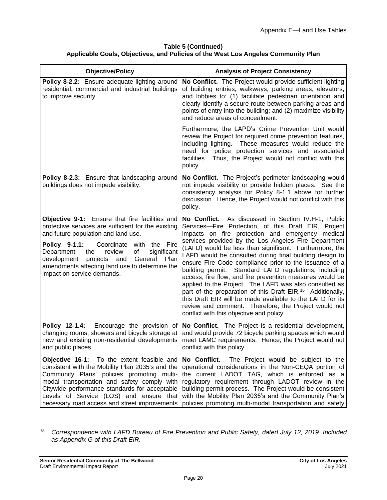#### **Table 5 (Continued) Applicable Goals, Objectives, and Policies of the West Los Angeles Community Plan**

| <b>Objective/Policy</b>                                                                                                                                                                                                                                                                                                                                                               | <b>Analysis of Project Consistency</b>                                                                                                                                                                                                                                                                                                                                                                                                                                                                                                                                                                                                                                                                                                                                                                                            |
|---------------------------------------------------------------------------------------------------------------------------------------------------------------------------------------------------------------------------------------------------------------------------------------------------------------------------------------------------------------------------------------|-----------------------------------------------------------------------------------------------------------------------------------------------------------------------------------------------------------------------------------------------------------------------------------------------------------------------------------------------------------------------------------------------------------------------------------------------------------------------------------------------------------------------------------------------------------------------------------------------------------------------------------------------------------------------------------------------------------------------------------------------------------------------------------------------------------------------------------|
| Policy 8-2.2: Ensure adequate lighting around<br>residential, commercial and industrial buildings<br>to improve security.                                                                                                                                                                                                                                                             | No Conflict. The Project would provide sufficient lighting<br>of building entries, walkways, parking areas, elevators,<br>and lobbies to: (1) facilitate pedestrian orientation and<br>clearly identify a secure route between parking areas and<br>points of entry into the building; and (2) maximize visibility<br>and reduce areas of concealment.                                                                                                                                                                                                                                                                                                                                                                                                                                                                            |
|                                                                                                                                                                                                                                                                                                                                                                                       | Furthermore, the LAPD's Crime Prevention Unit would<br>review the Project for required crime prevention features,<br>including lighting. These measures would reduce the<br>need for police protection services and associated<br>Thus, the Project would not conflict with this<br>facilities.<br>policy.                                                                                                                                                                                                                                                                                                                                                                                                                                                                                                                        |
| Policy 8-2.3: Ensure that landscaping around<br>buildings does not impede visibility.                                                                                                                                                                                                                                                                                                 | No Conflict. The Project's perimeter landscaping would<br>not impede visibility or provide hidden places. See the<br>consistency analysis for Policy 8-1.1 above for further<br>discussion. Hence, the Project would not conflict with this<br>policy.                                                                                                                                                                                                                                                                                                                                                                                                                                                                                                                                                                            |
| Objective 9-1: Ensure that fire facilities and<br>protective services are sufficient for the existing<br>and future population and land use.<br>Policy 9-1.1:<br>with the Fire<br>Coordinate<br>Department<br>review<br>of<br>significant<br>the<br>General<br>development<br>projects<br>and<br>Plan<br>amendments affecting land use to determine the<br>impact on service demands. | No Conflict. As discussed in Section IV.H-1, Public<br>Services-Fire Protection, of this Draft EIR, Project<br>impacts on fire protection and emergency medical<br>services provided by the Los Angeles Fire Department<br>(LAFD) would be less than significant. Furthermore, the<br>LAFD would be consulted during final building design to<br>ensure Fire Code compliance prior to the issuance of a<br>building permit. Standard LAFD regulations, including<br>access, fire flow, and fire prevention measures would be<br>applied to the Project. The LAFD was also consulted as<br>part of the preparation of this Draft EIR. <sup>16</sup> Additionally,<br>this Draft EIR will be made available to the LAFD for its<br>review and comment. Therefore, the Project would not<br>conflict with this objective and policy. |
| Policy 12-1.4:<br>Encourage the provision of<br>changing rooms, showers and bicycle storage at<br>new and existing non-residential developments<br>and public places.                                                                                                                                                                                                                 | No Conflict. The Project is a residential development,<br>and would provide 72 bicycle parking spaces which would<br>meet LAMC requirements. Hence, the Project would not<br>conflict with this policy.                                                                                                                                                                                                                                                                                                                                                                                                                                                                                                                                                                                                                           |
| Objective 16-1: To the extent feasible and<br>consistent with the Mobility Plan 2035's and the<br>Community Plans' policies promoting multi-<br>modal transportation and safety comply with<br>Citywide performance standards for acceptable<br>Levels of Service (LOS) and ensure that<br>necessary road access and street improvements                                              | No Conflict.<br>The Project would be subject to the<br>operational considerations in the Non-CEQA portion of<br>the current LADOT TAG, which is enforced as a<br>regulatory requirement through LADOT review in the<br>building permit process. The Project would be consistent<br>with the Mobility Plan 2035's and the Community Plan's<br>policies promoting multi-modal transportation and safety                                                                                                                                                                                                                                                                                                                                                                                                                             |

*<sup>16</sup> Correspondence with LAFD Bureau of Fire Prevention and Public Safety, dated July 12, 2019. Included as Appendix G of this Draft EIR.*